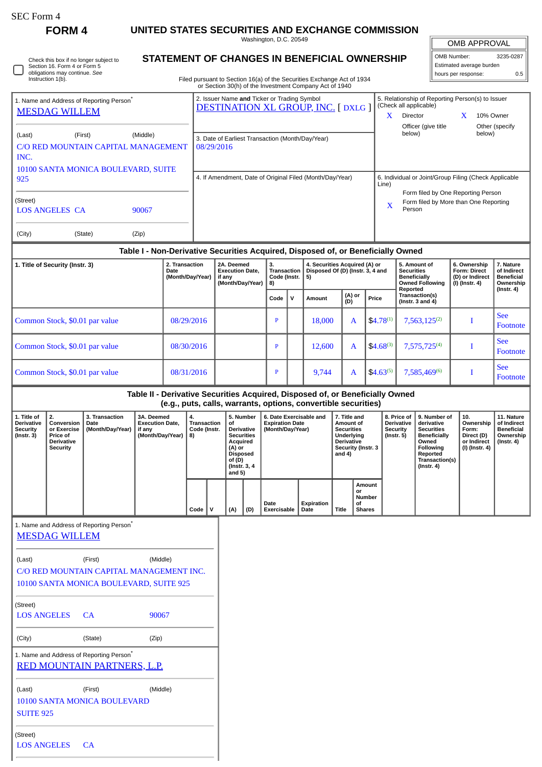| SEC Form 4 |  |
|------------|--|
|------------|--|

**FORM 4 UNITED STATES SECURITIES AND EXCHANGE COMMISSION**

Washington, D.C. 20549

## **STATEMENT OF CHANGES IN BENEFICIAL OWNERSHIP**

| <b>OMB APPROVAL</b>      |           |
|--------------------------|-----------|
| OMB Number:              | 3235-0287 |
| Estimated average burden |           |
| hours per response:      |           |

|                                                                         | obligations may continue. See<br>Instruction 1(b).               |                                                      |                                                                    |                                                                    | Filed pursuant to Section 16(a) of the Securities Exchange Act of 1934                                                                             |                                                                                                                           |             |                         |                                                                            |               |                                                                                    |                                                                                 | hours per response:                                                                                                                  | 0.5                                                                             |
|-------------------------------------------------------------------------|------------------------------------------------------------------|------------------------------------------------------|--------------------------------------------------------------------|--------------------------------------------------------------------|----------------------------------------------------------------------------------------------------------------------------------------------------|---------------------------------------------------------------------------------------------------------------------------|-------------|-------------------------|----------------------------------------------------------------------------|---------------|------------------------------------------------------------------------------------|---------------------------------------------------------------------------------|--------------------------------------------------------------------------------------------------------------------------------------|---------------------------------------------------------------------------------|
|                                                                         | <b>MESDAG WILLEM</b>                                             | 1. Name and Address of Reporting Person <sup>®</sup> |                                                                    |                                                                    | or Section 30(h) of the Investment Company Act of 1940<br>2. Issuer Name and Ticker or Trading Symbol<br><b>DESTINATION XL GROUP, INC. [DXLG ]</b> |                                                                                                                           |             |                         |                                                                            |               | (Check all applicable)<br>Director<br>X                                            |                                                                                 | 5. Relationship of Reporting Person(s) to Issuer<br>X.                                                                               | 10% Owner                                                                       |
| (Last)<br>INC.                                                          |                                                                  | (First)<br>C/O RED MOUNTAIN CAPITAL MANAGEMENT       | (Middle)                                                           |                                                                    | 3. Date of Earliest Transaction (Month/Day/Year)<br>08/29/2016                                                                                     |                                                                                                                           |             |                         |                                                                            |               | below)                                                                             | Officer (give title                                                             | below)                                                                                                                               | Other (specify                                                                  |
| 925<br>(Street)<br>(City)                                               | <b>LOS ANGELES CA</b>                                            | 10100 SANTA MONICA BOULEVARD, SUITE<br>(State)       | 90067<br>(Zip)                                                     |                                                                    | 4. If Amendment, Date of Original Filed (Month/Day/Year)                                                                                           |                                                                                                                           |             |                         |                                                                            |               | Line)<br>$\mathbf{x}$<br>Person                                                    |                                                                                 | 6. Individual or Joint/Group Filing (Check Applicable<br>Form filed by One Reporting Person<br>Form filed by More than One Reporting |                                                                                 |
|                                                                         |                                                                  |                                                      |                                                                    |                                                                    | Table I - Non-Derivative Securities Acquired, Disposed of, or Beneficially Owned                                                                   |                                                                                                                           |             |                         |                                                                            |               |                                                                                    |                                                                                 |                                                                                                                                      |                                                                                 |
| 1. Title of Security (Instr. 3)<br>Date                                 |                                                                  |                                                      | 2. Transaction<br>(Month/Day/Year)                                 | 2A. Deemed<br><b>Execution Date,</b><br>if any<br>(Month/Day/Year) |                                                                                                                                                    | 4. Securities Acquired (A) or<br>3.<br>Disposed Of (D) (Instr. 3, 4 and<br><b>Transaction</b><br>Code (Instr.<br>5)<br>8) |             |                         |                                                                            |               | 5. Amount of<br><b>Securities</b><br><b>Beneficially</b><br><b>Owned Following</b> | 6. Ownership<br>Form: Direct<br>(D) or Indirect<br>(I) (Instr. 4)               | 7. Nature<br>of Indirect<br><b>Beneficial</b><br>Ownership                                                                           |                                                                                 |
|                                                                         |                                                                  |                                                      |                                                                    |                                                                    |                                                                                                                                                    | Code                                                                                                                      | $\mathbf v$ | Amount                  | (A) or<br>(D)                                                              | Price         | Reported                                                                           | Transaction(s)<br>(Instr. $3$ and $4$ )                                         |                                                                                                                                      | $($ Instr. 4 $)$                                                                |
|                                                                         | Common Stock, \$0.01 par value                                   |                                                      |                                                                    | 08/29/2016                                                         |                                                                                                                                                    | $\mathbf{P}$                                                                                                              |             | 18,000                  | A                                                                          | $$4.78^{(1)}$ |                                                                                    | $7,563,125^{(2)}$                                                               | Ι                                                                                                                                    | <b>See</b><br>Footnote                                                          |
|                                                                         | Common Stock, \$0.01 par value                                   |                                                      |                                                                    | 08/30/2016                                                         |                                                                                                                                                    | $\mathbf{P}$                                                                                                              |             | 12,600                  | A                                                                          | $$4.68^{(3)}$ |                                                                                    | 7,575,725 <sup>(4)</sup>                                                        | Ι                                                                                                                                    | <b>See</b><br>Footnote                                                          |
|                                                                         | Common Stock, \$0.01 par value                                   |                                                      |                                                                    | 08/31/2016                                                         |                                                                                                                                                    | $\mathbf{P}$                                                                                                              |             | 9,744                   | A                                                                          | $$4.63^{(5)}$ |                                                                                    | 7,585,469(6)                                                                    | Ι                                                                                                                                    | <b>See</b><br>Footnote                                                          |
|                                                                         |                                                                  |                                                      |                                                                    |                                                                    | Table II - Derivative Securities Acquired, Disposed of, or Beneficially Owned<br>(e.g., puts, calls, warrants, options, convertible securities)    |                                                                                                                           |             |                         |                                                                            |               |                                                                                    |                                                                                 |                                                                                                                                      |                                                                                 |
| 1. Title of<br><b>Derivative</b><br><b>Security</b><br>$($ Instr. 3 $)$ | 2.<br>Conversion<br>or Exercise<br>Price of<br><b>Derivative</b> | 3. Transaction<br>Date<br>(Month/Day/Year)           | 3A. Deemed<br><b>Execution Date.</b><br>if any<br>(Month/Day/Year) | 4.<br><b>Transaction</b><br>Code (Instr.<br>8)                     | 5. Number<br>of<br><b>Derivative</b><br><b>Securities</b><br>Acquired                                                                              | <b>Expiration Date</b><br>(Month/Day/Year)                                                                                |             | 6. Date Exercisable and | 7. Title and<br>Amount of<br><b>Securities</b><br>Underlying<br>Derivative |               | 8. Price of<br><b>Derivative</b><br>Security<br>$($ Instr. 5 $)$                   | 9. Number of<br>derivative<br><b>Securities</b><br><b>Beneficially</b><br>Owned | 10.<br>Ownership<br>Form:<br>Direct (D)<br>or Indirect                                                                               | 11. Nature<br>of Indirect<br><b>Beneficial</b><br>Ownership<br>$($ Instr. 4 $)$ |

| <b>Security</b><br>$($ Instr. 3 $)$ | or Exercise<br><b>Price of</b><br><b>Derivative</b><br>Security | (Month/Day/Year)                                     | if any<br>(Month/Day/Year) | Code (Instr.<br>8) |  | <b>Derivative</b><br><b>Securities</b><br>Acquired<br>(A) or<br>Disposed<br>of (D)<br>(Instr. 3, 4)<br>and 5) |     | (Month/Day/Year)    |                           | <b>Securities</b><br>Underlying<br><b>Derivative</b><br>Security (Instr. 3<br>and $4)$ |                                                      | Security<br>(Instr. 5) | <b>Securities</b><br><b>Beneficially</b><br>Owned<br><b>Following</b><br>Reported<br>Transaction(s)<br>(Instr. 4) | Form:<br>Direct (D)<br>or Indirect<br>(I) (Instr. 4) | <b>Beneficial</b><br>Ownership<br>(Instr. 4) |
|-------------------------------------|-----------------------------------------------------------------|------------------------------------------------------|----------------------------|--------------------|--|---------------------------------------------------------------------------------------------------------------|-----|---------------------|---------------------------|----------------------------------------------------------------------------------------|------------------------------------------------------|------------------------|-------------------------------------------------------------------------------------------------------------------|------------------------------------------------------|----------------------------------------------|
|                                     |                                                                 |                                                      |                            | Code               |  | (A)                                                                                                           | (D) | Date<br>Exercisable | <b>Expiration</b><br>Date | Title                                                                                  | Amount<br>or<br><b>Number</b><br>οf<br><b>Shares</b> |                        |                                                                                                                   |                                                      |                                              |
|                                     | <b>MESDAG WILLEM</b>                                            | 1. Name and Address of Reporting Person <sup>®</sup> |                            |                    |  |                                                                                                               |     |                     |                           |                                                                                        |                                                      |                        |                                                                                                                   |                                                      |                                              |

| (Last)                                               | (First)                                 | (Middle) |  |  |  |  |  |  |  |
|------------------------------------------------------|-----------------------------------------|----------|--|--|--|--|--|--|--|
|                                                      |                                         |          |  |  |  |  |  |  |  |
| C/O RED MOUNTAIN CAPITAL MANAGEMENT INC.             |                                         |          |  |  |  |  |  |  |  |
|                                                      | 10100 SANTA MONICA BOULEVARD, SUITE 925 |          |  |  |  |  |  |  |  |
| (Street)                                             |                                         |          |  |  |  |  |  |  |  |
| LOS ANGELES                                          | CA                                      | 90067    |  |  |  |  |  |  |  |
| (City)                                               | (State)                                 | (Zip)    |  |  |  |  |  |  |  |
| 1. Name and Address of Reporting Person <sup>*</sup> | RED MOUNTAIN PARTNERS, L.P.             |          |  |  |  |  |  |  |  |
|                                                      |                                         |          |  |  |  |  |  |  |  |
| (Last)                                               | (First)                                 | (Middle) |  |  |  |  |  |  |  |
|                                                      | <b>10100 SANTA MONICA BOULEVARD</b>     |          |  |  |  |  |  |  |  |
| <b>SUITE 925</b>                                     |                                         |          |  |  |  |  |  |  |  |
| (Street)                                             |                                         |          |  |  |  |  |  |  |  |
| LOS ANGELES                                          | CA                                      |          |  |  |  |  |  |  |  |